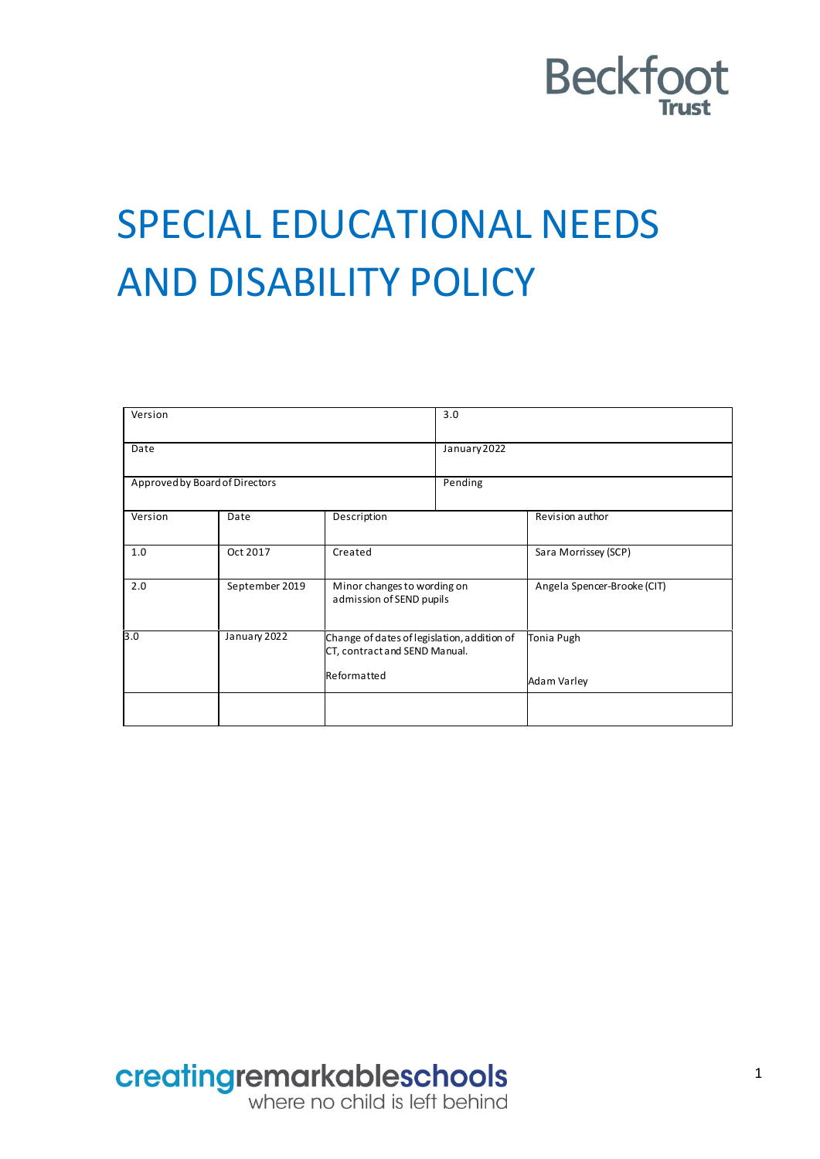

## SPECIAL EDUCATIONAL NEEDS AND DISABILITY POLICY

| Version                        |                |                                                                                             | 3.0          |                             |
|--------------------------------|----------------|---------------------------------------------------------------------------------------------|--------------|-----------------------------|
| Date                           |                |                                                                                             | January 2022 |                             |
| Approved by Board of Directors |                |                                                                                             | Pending      |                             |
| Version                        | Date           | Description                                                                                 |              | Revision author             |
| 1.0                            | Oct 2017       | Created                                                                                     |              | Sara Morrissey (SCP)        |
| 2.0                            | September 2019 | Minor changes to wording on<br>admission of SEND pupils                                     |              | Angela Spencer-Brooke (CIT) |
| 3.0                            | January 2022   | Change of dates of legislation, addition of<br>CT, contract and SEND Manual.<br>Reformatted |              | Tonia Pugh                  |
|                                |                |                                                                                             |              | Adam Varley                 |
|                                |                |                                                                                             |              |                             |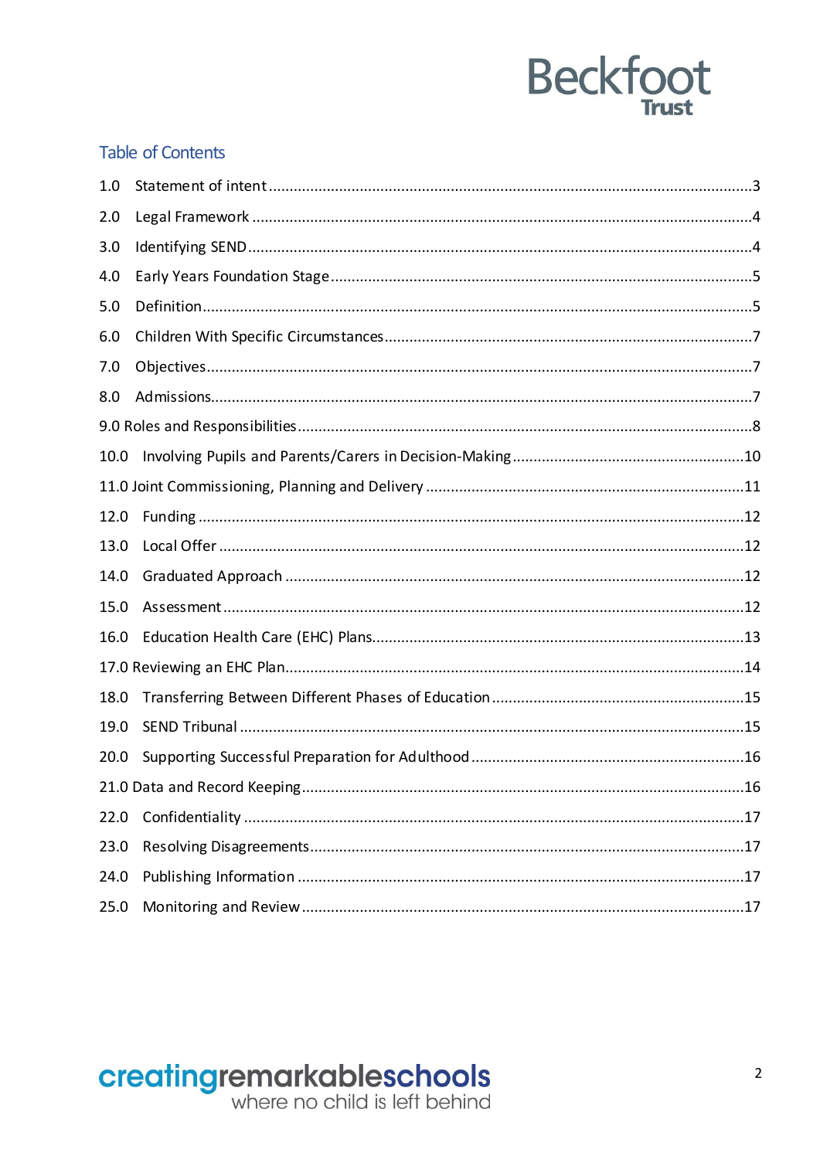#### **Table of Contents**

| 1.0  |  |
|------|--|
| 2.0  |  |
| 3.0  |  |
| 4.0  |  |
| 5.0  |  |
| 6.0  |  |
| 7.0  |  |
| 8.0  |  |
|      |  |
| 10.0 |  |
|      |  |
| 12.0 |  |
| 13.0 |  |
| 14.0 |  |
| 15.0 |  |
| 16.0 |  |
|      |  |
| 18.0 |  |
| 19.0 |  |
| 20.0 |  |
|      |  |
| 22.0 |  |
| 23.0 |  |
| 24.0 |  |
| 25.0 |  |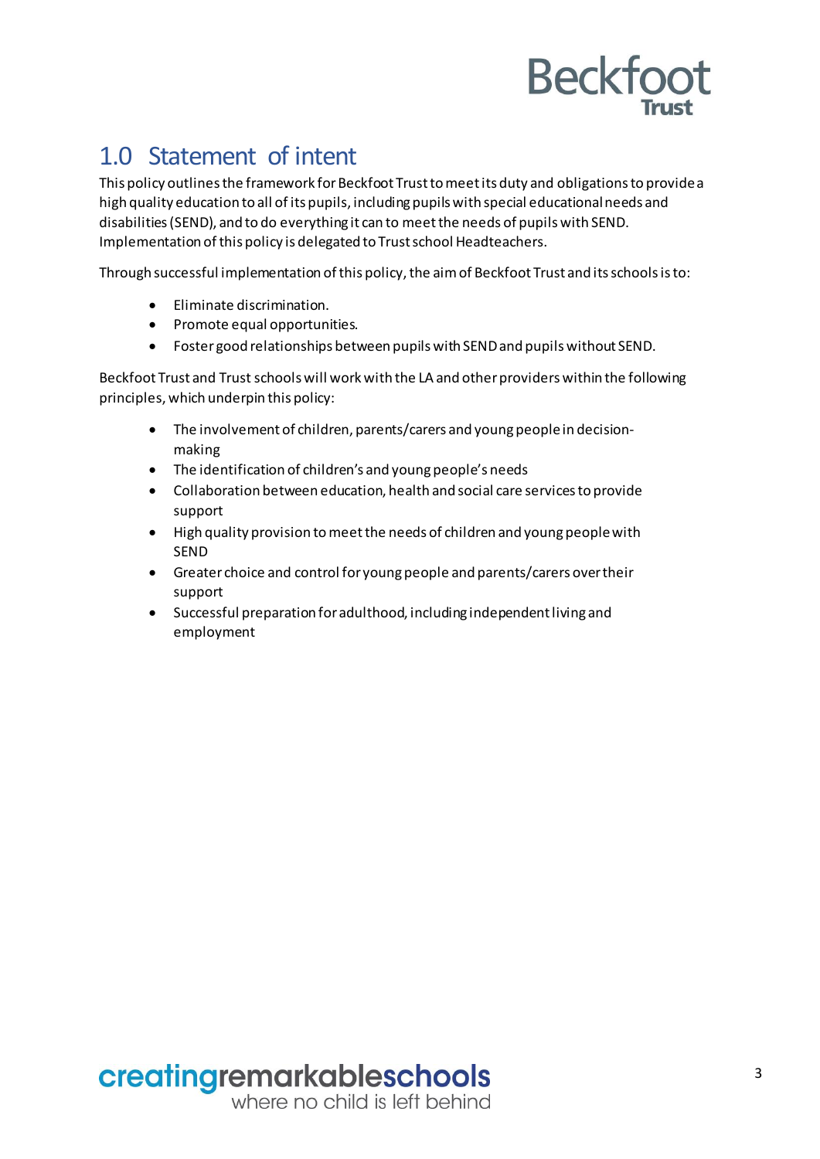## <span id="page-2-0"></span>1.0 Statement of intent

This policy outlines the framework for Beckfoot Trust to meet its duty and obligations to provide a high quality education to all of its pupils, including pupils with special educational needs and disabilities (SEND), and to do everything it can to meet the needs of pupils with SEND. Implementation of this policy is delegated to Trust school Headteachers.

Through successful implementation of this policy, the aim of Beckfoot Trust and its schools is to:

- Eliminate discrimination.
- Promote equal opportunities.
- Fostergood relationships between pupils with SENDand pupils without SEND.

Beckfoot Trust and Trust schools will work with the LA and other providers within the following principles, which underpin this policy:

- The involvement of children, parents/carers and young people in decisionmaking
- The identification of children's and young people's needs
- Collaboration between education, health and social care services to provide support
- High quality provision tomeetthe needs of children and youngpeoplewith SEND
- Greater choice and control for young people and parents/carers over their support
- Successful preparation foradulthood, including independent living and employment

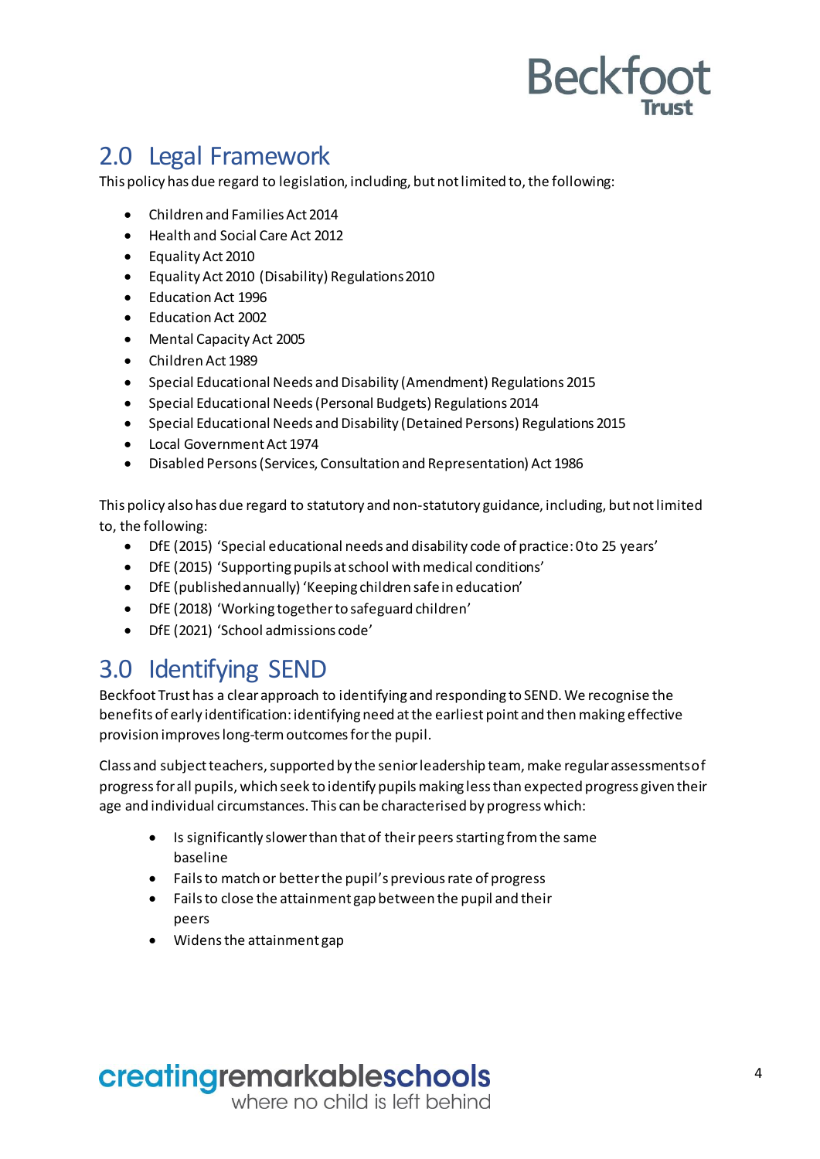## <span id="page-3-0"></span>2.0 Legal Framework

This policy has due regard to legislation, including, but not limited to, the following:

- Children and Families Act 2014
- Health and Social Care Act 2012
- Equality Act 2010
- Equality Act 2010 (Disability) Regulations2010
- Education Act 1996
- Education Act 2002
- Mental Capacity Act 2005
- Children Act 1989
- Special Educational Needs and Disability (Amendment) Regulations 2015
- Special Educational Needs (Personal Budgets) Regulations 2014
- Special Educational Needs and Disability (Detained Persons) Regulations 2015
- Local Government Act 1974
- Disabled Persons (Services, Consultation and Representation) Act 1986

This policy also has due regard to statutory and non-statutory guidance, including, but not limited to, the following:

- DfE (2015) 'Special educational needs and disability code of practice: 0 to 25 years'
- DfE (2015) 'Supporting pupils at school with medical conditions'
- DfE (published annually) 'Keeping children safe in education'
- DfE (2018) 'Working together to safeguard children'
- DfE (2021) 'School admissions code'

### <span id="page-3-1"></span>3.0 Identifying SEND

Beckfoot Trust has a clear approach to identifying and responding to SEND. We recognise the benefits of early identification: identifying need at the earliest point and then making effective provision improveslong-termoutcomesforthe pupil.

Class and subject teachers, supported by the senior leadership team, make regular assessments of progress for all pupils, which seek to identify pupilsmaking less than expected progress given their age and individual circumstances. This can be characterised by progress which:

- Is significantly slower than that of their peers starting from the same baseline
- Fails to match or betterthe pupil's previous rate of progress
- Fails to close the attainment gap between the pupil and their peers
- Widens the attainment gap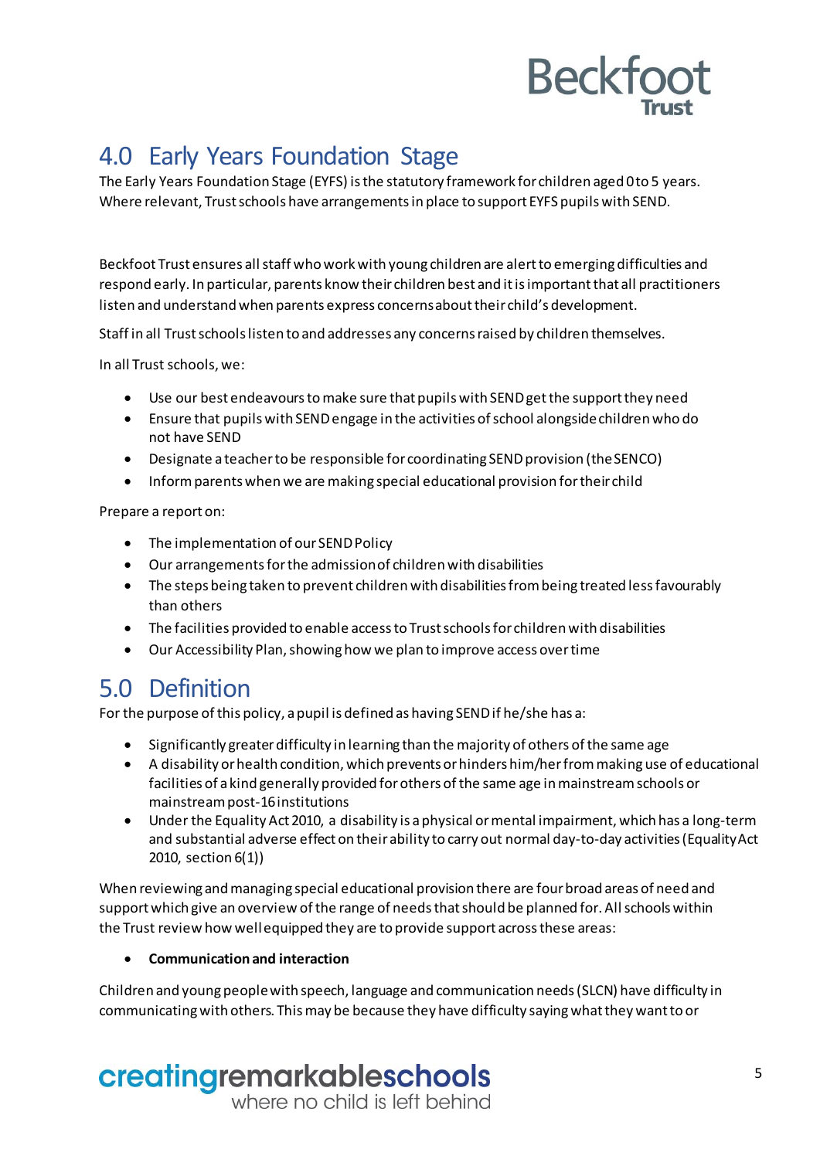## <span id="page-4-0"></span>4.0 Early Years Foundation Stage

The Early Years Foundation Stage (EYFS) is the statutory framework for children aged 0 to 5 years. Where relevant, Trust schools have arrangements in place to support EYFS pupilswith SEND.

Beckfoot Trust ensures all staff who work with young children are alert to emerging difficulties and respond early. In particular, parents know their children best and it is importantthat all practitioners listen and understand when parents express concernsabouttheir child's development.

Staff in all Trust schoolslisten to and addresses any concerns raised by children themselves.

In all Trust schools, we:

- Use our best endeavours tomake sure that pupilswith SEND get the support they need
- Ensure that pupils with SENDengage in the activities of school alongsidechildren who do not have SEND
- Designate a teacherto be responsible for coordinating SEND provision (the SENCO)
- Inform parentswhen we are making special educational provision fortheir child

Prepare a report on:

- The implementation of our SEND Policy
- Our arrangementsforthe admissionof children with disabilities
- The steps being taken to prevent children with disabilities from being treated less favourably than others
- The facilities provided to enable access to Trust schools for children with disabilities
- Our Accessibility Plan,showing how we plan to improve access overtime

## <span id="page-4-1"></span>5.0 Definition

For the purpose of this policy, apupil is defined as having SEND if he/she has a:

- Significantly greater difficulty in learning than the majority of others ofthe same age
- A disability or health condition, which prevents or hinders him/herfrommaking use of educational facilities of a kind generally provided forothers ofthe same age inmainstream schools or mainstreampost-16 institutions
- Under the Equality Act 2010, a disability is a physical or mental impairment, which has a long-term and substantial adverse effect on their ability to carry out normal day-to-day activities (Equality Act 2010, section 6(1))

When reviewing and managing special educational provision there are four broad areas of need and support which give an overview of the range of needs that should be planned for. All schools within the Trust review how wellequipped they are to provide support acrossthese areas:

#### **Communicationand interaction**

Children and young people with speech, language and communication needs (SLCN) have difficulty in communicating with others. This may be because they have difficulty saying what they want to or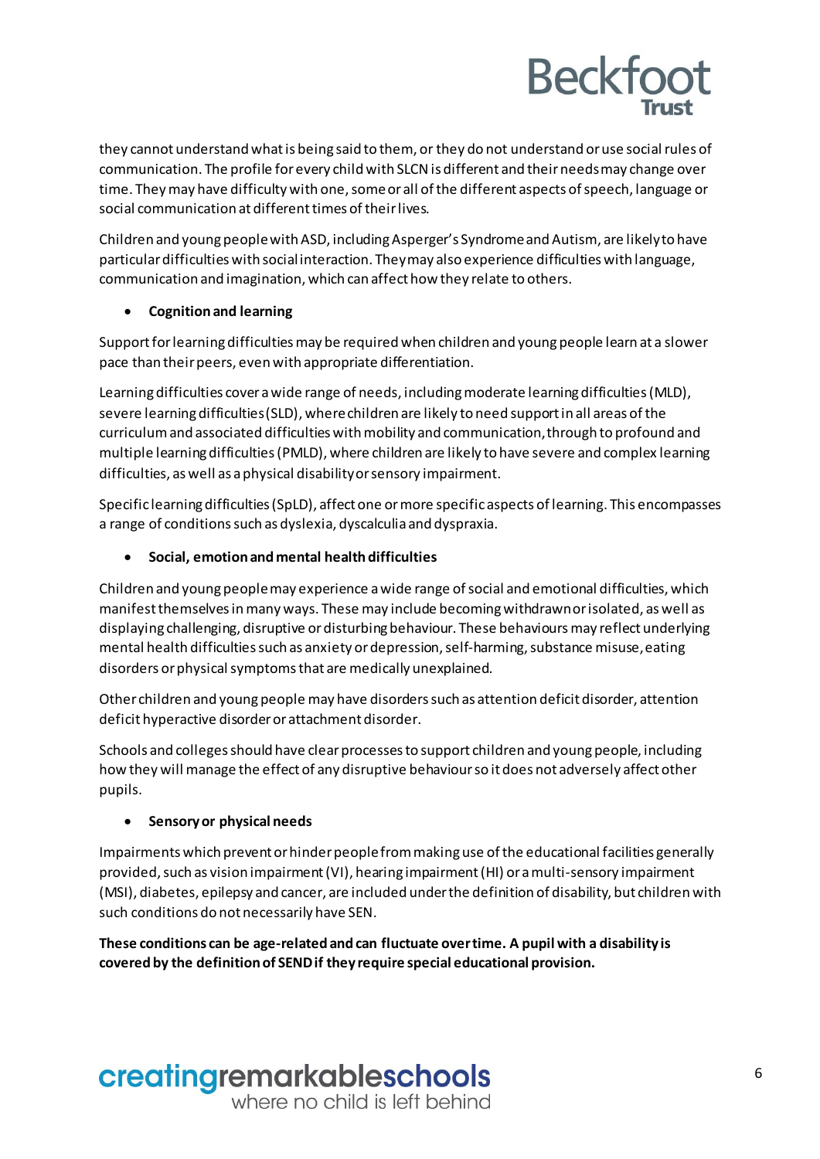they cannot understand what is being said to them, or they do not understand or use socialrules of communication. The profile forevery childwith SLCNis different and their needsmay change over time. They may have difficulty with one, some or all of the different aspects of speech, language or social communication at different times of their lives.

Children and young people with ASD, including Asperger's Syndrome and Autism, are likely to have particulardifficulties with socialinteraction. Theymay also experience difficultieswith language, communication and imagination, which can affect how they relate to others.

#### **Cognitionand learning**

Support for learning difficulties may be required when children and young people learn at a slower pace than their peers, even with appropriate differentiation.

Learning difficulties cover a wide range of needs, including moderate learning difficulties (MLD), severe learning difficulties (SLD), where children are likely to need support in all areas of the curriculum and associated difficulties with mobility and communication,through to profound and multiple learningdifficulties (PMLD), where children are likely to have severe and complex learning difficulties, as well as a physical disabilityorsensory impairment.

Specific learningdifficulties(SpLD), affectone ormore specific aspects of learning. This encompasses a range of conditionssuch as dyslexia, dyscalculia and dyspraxia.

**Social, emotionandmental healthdifficulties**

Children and young people may experience a wide range of social and emotional difficulties, which manifest themselves inmany ways. These may include becoming withdrawnorisolated, aswell as displaying challenging, disruptive ordisturbingbehaviour. These behavioursmay reflect underlying mental health difficulties such as anxiety or depression, self-harming, substance misuse, eating disorders or physical symptoms that are medically unexplained.

Other children and young people may have disorderssuch as attention deficit disorder, attention deficit hyperactive disorder or attachment disorder.

Schools and colleges should have clear processes to support children and young people, including how they will manage the effect of any disruptive behaviourso it does not adversely affect other pupils.

#### **Sensoryor physical needs**

Impairments which prevent orhinder people frommakinguse of the educational facilities generally provided, such as vision impairment (VI), hearing impairment (HI) or a multi-sensory impairment (MSI), diabetes, epilepsy and cancer, are included under the definition of disability, but children with such conditions do not necessarily have SEN.

**These conditions can be age-relatedandcan fluctuate overtime. A pupil with a disability is covered by the definitionof SENDif they require special educational provision.**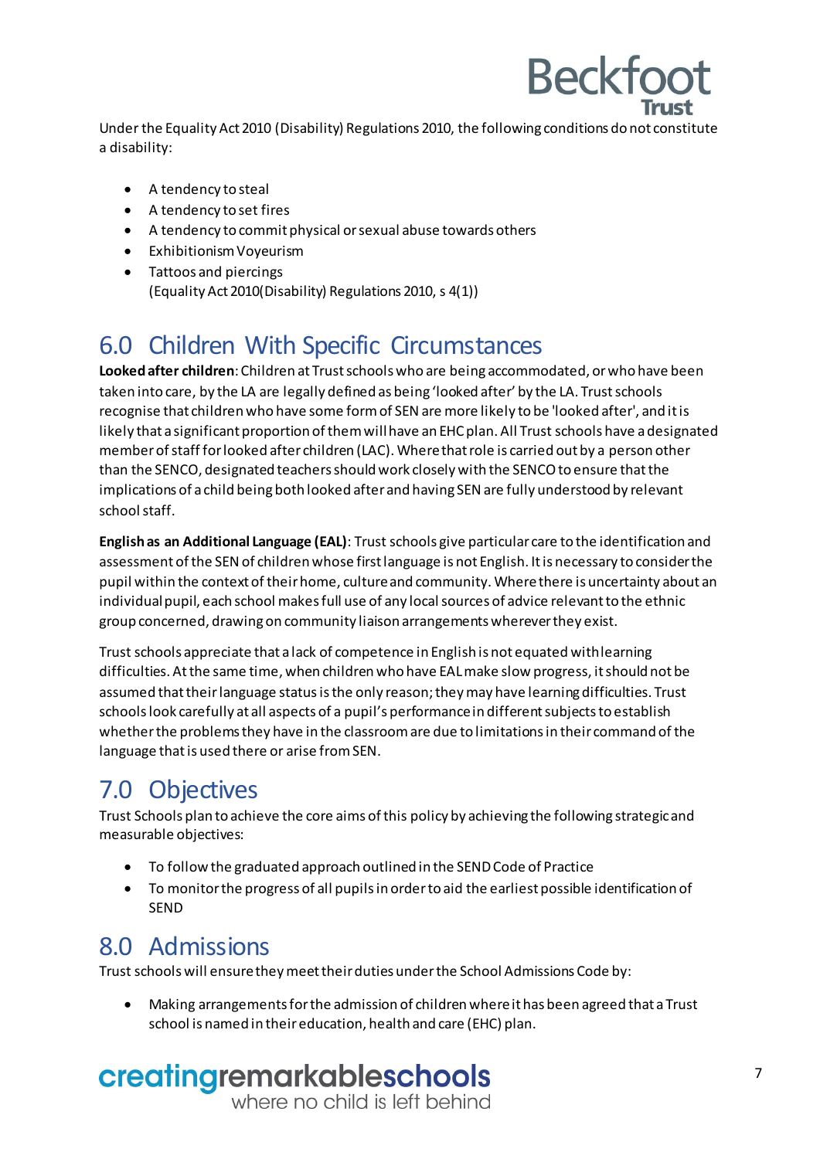Under the Equality Act 2010 (Disability) Regulations 2010, the following conditions do not constitute a disability:

**Beckfoot** 

- A tendency to steal
- A tendency to set fires
- A tendency to commit physical orsexual abuse towards others
- Exhibitionism Voyeurism
- Tattoos and piercings (Equality Act 2010(Disability) Regulations 2010, s 4(1))

### <span id="page-6-0"></span>6.0 Children With Specific Circumstances

**Lookedafter children**:Children at Trust schools who are being accommodated, or who have been taken into care, by the LA are legally defined as being 'looked after' by the LA. Trust schools recognise that children who have some formof SEN are more likely to be 'looked after', and it is likely that a significant proportion of them will have an EHC plan. All Trust schools have a designated memberofstaff for looked after children (LAC). Where that role is carried out by a person other than the SENCO, designated teachers should work closely with the SENCO to ensure that the implications of a child being both looked after and having SENare fully understood by relevant schoolstaff.

**Englishas an Additional Language (EAL)**: Trust schools give particular care to the identification and assessment of the SEN of children whose first language is not English. It is necessary to consider the pupil within the context of their home, culture and community. Where there is uncertainty about an individual pupil, each school makes full use of any local sources of advice relevant to the ethnic group concerned, drawingon community liaison arrangements whereverthey exist.

Trust schools appreciate that a lack of competence in English is not equated withlearning difficulties. Atthe same time, when children who have EALmake slow progress, it should not be assumed that their language status is the only reason; they may have learning difficulties. Trust schools look carefully at all aspects of a pupil's performance in different subjects to establish whetherthe problemsthey have in the classroom are due to limitations in their command of the language that is used there or arise from SEN.

## <span id="page-6-1"></span>7.0 Objectives

Trust Schools plan to achieve the core aims of this policy by achieving the following strategicand measurable objectives:

- To follow the graduated approach outlined in the SEND Code of Practice
- To monitorthe progress of all pupils in orderto aid the earliest possible identification of SEND

### <span id="page-6-2"></span>8.0 Admissions

Trust schools will ensurethey meet their duties underthe School Admissions Code by:

 Making arrangements for the admission of children where it has been agreed that a Trust school is named in theireducation, health and care (EHC) plan.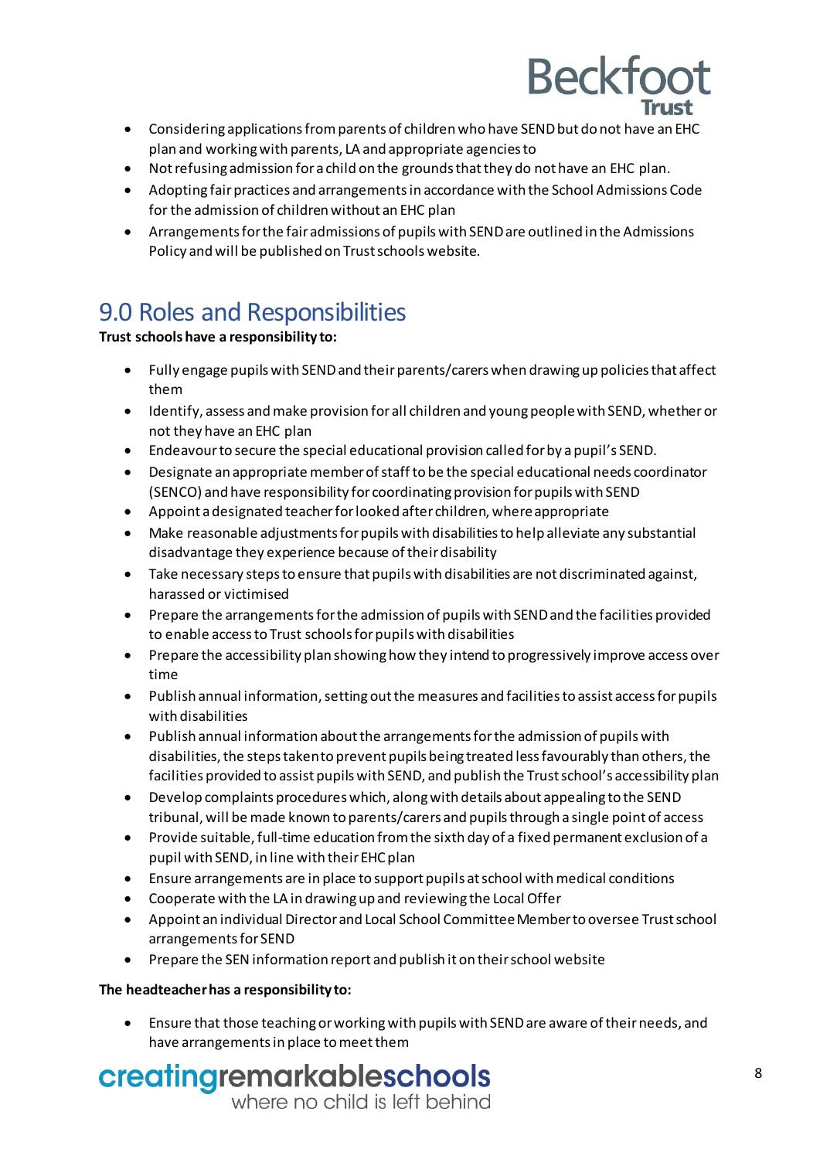

- Considering applications from parents of children who have SEND but do not have an EHC plan and working with parents, LA and appropriate agenciesto
- Not refusing admission for a child on the grounds thatthey do not have an EHC plan.
- Adopting fair practices and arrangements in accordance with the School Admissions Code for the admission of children without an EHC plan
- Arrangements for the fair admissions of pupils with SENDare outlined in the Admissions Policy and will be published on Trust schools website.

## <span id="page-7-0"></span>9.0 Roles and Responsibilities

#### **Trust schools have a responsibility to:**

- Fully engage pupils with SEND and theirparents/carers when drawingup policiesthat affect them
- Identify, assess and make provision for all children and young people with SEND, whether or not they have an EHC plan
- Endeavour to secure the special educational provision called forby apupil's SEND.
- Designate an appropriate memberofstaffto be the special educational needs coordinator (SENCO) and have responsibility for coordinatingprovision for pupils with SEND
- Appoint a designated teacher forlooked after children, where appropriate
- Make reasonable adjustments forpupils with disabilities to help alleviate any substantial disadvantage they experience because of their disability
- Take necessary stepsto ensure that pupilswith disabilities are not discriminated against, harassed or victimised
- Prepare the arrangementsfor the admission of pupils with SENDand the facilities provided to enable accessto Trust schools forpupils with disabilities
- Prepare the accessibility plan showing how they intend to progressively improve access over time
- Publish annual information, setting out the measures and facilities to assist access for pupils with disabilities
- Publish annual information aboutthe arrangements for the admission of pupils with disabilities, the steps takento prevent pupils being treated less favourably than others, the facilities provided to assist pupils with SEND, and publish the Trust school's accessibility plan
- Develop complaints procedures which, alongwith details about appealing to the SEND tribunal, will be made known to parents/carers and pupils through a single pointof access
- Provide suitable,full-time education from the sixth day of a fixed permanent exclusion of a pupil with SEND, in line with theirEHC plan
- Ensure arrangements are in place to support pupils atschool withmedical conditions
- Cooperate with the LA in drawingup and reviewing the Local Offer
- Appoint an individual Director and Local School CommitteeMemberto oversee Trust school arrangements for SEND
- Prepare the SEN information report and publish it on their school website

#### **The headteacherhas a responsibility to:**

 Ensure that those teachingor workingwith pupilswith SEND are aware of their needs, and have arrangements in place to meetthem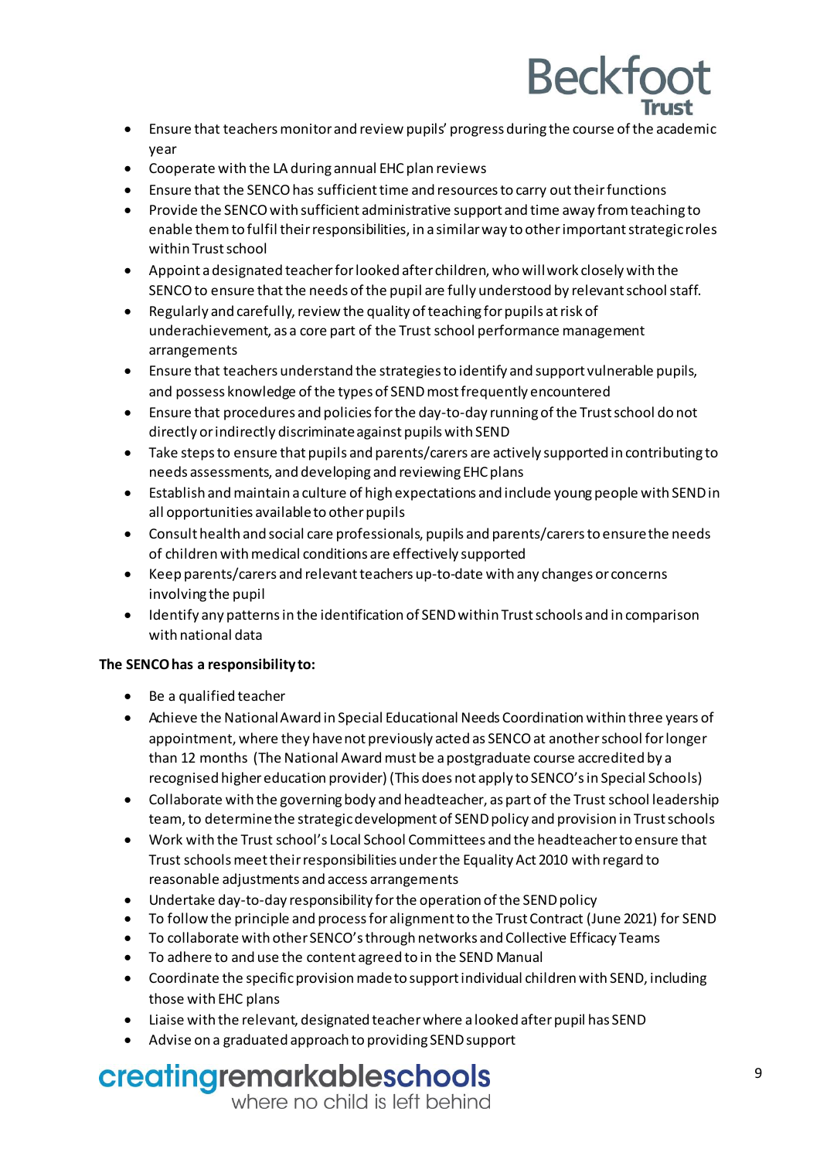

- Ensure that teachersmonitorand review pupils' progress during the course ofthe academic year
- Cooperate with the LA during annual EHC plan reviews
- Ensure that the SENCO has sufficient time and resources to carry out their functions
- Provide the SENCO with sufficient administrative support and time away from teaching to enable themto fulfil their responsibilities, in a similarway to other important strategic roles within Trustschool
- Appoint a designated teacher forlooked after children, who willwork closely with the SENCO to ensure that the needs of the pupil are fully understood by relevant school staff.
- $\bullet$  Regularly and carefully, review the quality of teaching for pupils at risk of underachievement, as a core part of the Trust school performance management arrangements
- Ensure that teachers understand the strategies to identify and support vulnerable pupils, and possess knowledge of the types of SEND most frequently encountered
- Ensure that procedures and policiesforthe day-to-day runningof the Trust school do not directly or indirectly discriminateagainst pupils with SEND
- Take stepsto ensure that pupils and parents/carers are actively supported in contributing to needs assessments, and developing and reviewing EHC plans
- Establish andmaintain a culture of high expectations and include young people with SEND in all opportunities availableto other pupils
- Consult health and social care professionals, pupils and parents/carersto ensurethe needs of children with medical conditions are effectively supported
- Keep parents/carers and relevantteachers up-to-date with any changes or concerns involving the pupil
- Identify any patterns in the identification of SENDwithin Trustschools and in comparison with national data

#### **The SENCOhas a responsibility to:**

- Be a qualified teacher
- Achieve the NationalAward in Special Educational Needs Coordination within three years of appointment, where they have not previously acted as SENCO at another school for longer than 12 months (The National Awardmust be a postgraduate course accredited by a recognised higher education provider) (This does not apply to SENCO's in Special Schools)
- Collaborate with the governing body and headteacher, as part of the Trust school leadership team,to determinethe strategic development of SEND policy and provision in Trust schools
- Work with the Trust school's Local School Committees and the headteacher to ensure that Trust schoolsmeet theirresponsibilities underthe Equality Act 2010 with regard to reasonable adjustments and access arrangements
- Undertake day-to-day responsibility for the operation of the SEND policy
- To follow the principle and process for alignment to the Trust Contract (June 2021) for SEND
- To collaborate with other SENCO's through networks and Collective Efficacy Teams
- To adhere to and use the content agreed to in the SEND Manual
- Coordinate the specific provisionmade to support individual children with SEND, including those with EHC plans
- Liaise with the relevant, designated teacherwhere a looked after pupil has SEND
- Advise on a graduated approach to providing SEND support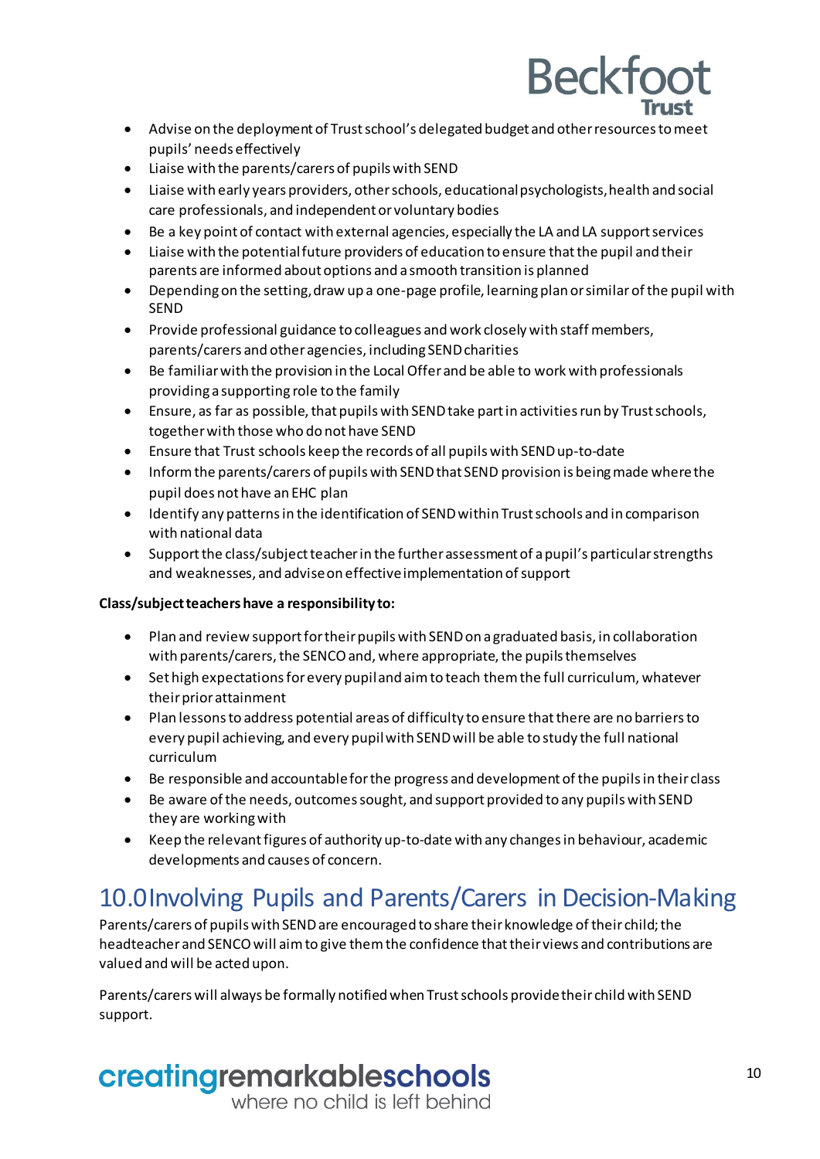- Advise on the deployment of Trust school's delegated budget and other resources to meet pupils' needs effectively
- Liaise with the parents/carers of pupils with SEND
- Liaise with early years providers, other schools, educationalpsychologists,health and social care professionals, and independent or voluntary bodies
- Be a key point of contact with external agencies, especially the LA and LA support services
- Liaise with the potentialfuture providers of education to ensure that the pupil and their parents are informed about options and a smooth transition is planned
- Depending on the setting, draw up a one-page profile, learning plan or similar of the pupil with SEND
- Provide professional guidance to colleagues and work closely with staff members, parents/carers and other agencies, including SENDcharities
- Be familiar with the provision in the Local Offer and be able to work with professionals providing a supporting role to the family
- Ensure, as far as possible, that pupils with SEND take part in activities run by Trust schools, together with those who do not have SEND
- Ensure that Trust schools keep the records of all pupils with SEND up-to-date
- Inform the parents/carers of pupils with SEND that SEND provision is being made where the pupil does not have an EHC plan
- Identify any patterns in the identification of SENDwithin Trust schools and in comparison with national data
- Support the class/subject teacher in the further assessment of a pupil's particular strengths and weaknesses, and advise on effective implementation of support

#### **Class/subjectteachers have a responsibility to:**

- Plan and review support for their pupils with SENDon a graduated basis, in collaboration with parents/carers, the SENCO and, where appropriate, the pupils themselves
- Set high expectations forevery pupiland aimto teach them the full curriculum, whatever their priorattainment
- Plan lessonsto address potential areas of difficulty to ensure thatthere are no barriers to every pupil achieving, and every pupilwith SEND will be able to study the full national curriculum
- Be responsible and accountable for the progress and development of the pupils in their class
- Be aware of the needs, outcomes sought, and support provided to any pupils with SEND they are workingwith
- Keep the relevant figures of authority up-to-date with any changes in behaviour, academic developments and causes of concern.

### <span id="page-9-0"></span>10.0Involving Pupils and Parents/Carers in Decision-Making

Parents/carers of pupils with SEND are encouraged to share their knowledge of their child; the headteacher and SENCOwill aim to give them the confidence thattheir views and contributions are valued and will be acted upon.

Parents/carers will always be formally notifiedwhen Trust schools providetheir childwith SEND support.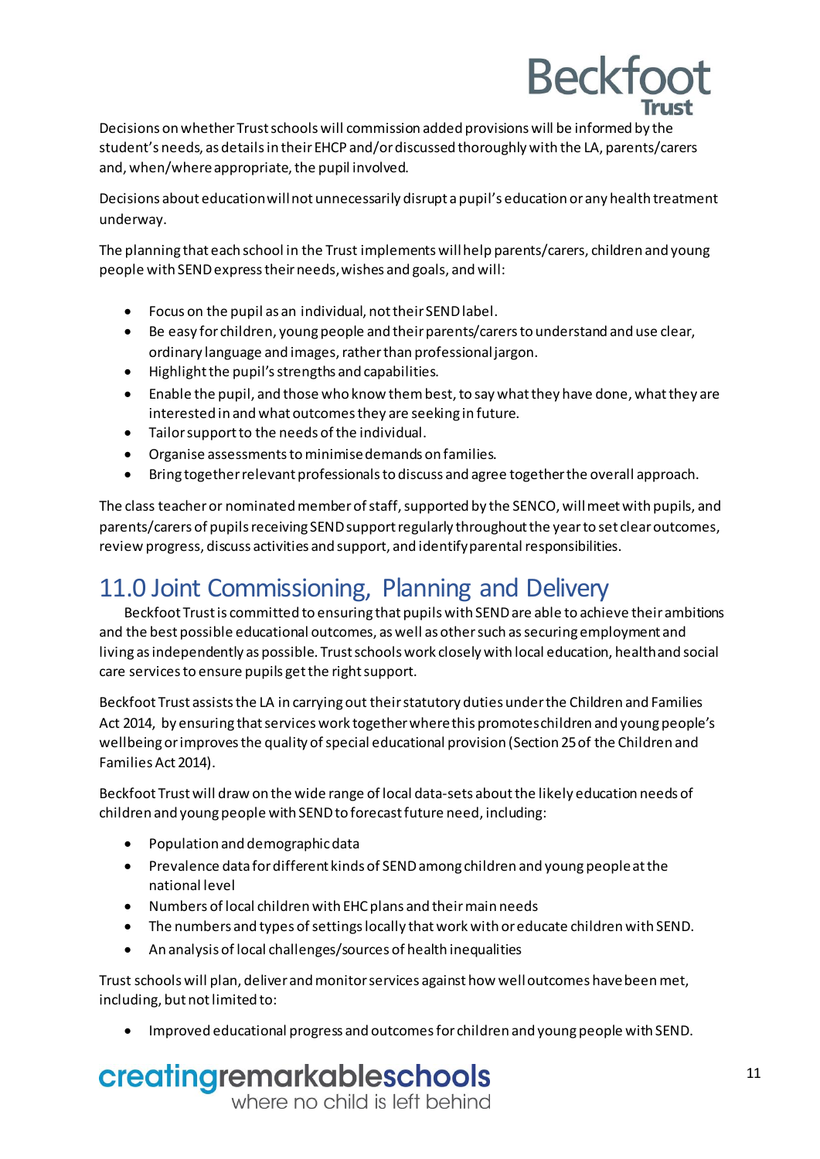Decisions on whether Trustschools will commission added provisions will be informed by the student's needs, as detailsin their EHCP and/ordiscussed thoroughly with the LA, parents/carers and, when/where appropriate, the pupil involved.

Decisions about educationwillnot unnecessarily disrupt a pupil's education or any health treatment underway.

The planning that each school in the Trust implements willhelp parents/carers, children and young people with SEND expresstheir needs,wishes and goals, and will:

- Focus on the pupil as an individual, nottheir SEND label.
- Be easy for children, young people and their parents/carers to understand and use clear, ordinary language and images, rather than professional jargon.
- Highlight the pupil's strengths and capabilities.
- Enable the pupil, and those who know them best, to say what they have done, what they are interested in and what outcomesthey are seeking in future.
- Tailor support to the needs of the individual.
- Organise assessmentstominimise demands on families.
- Bring together relevant professionalsto discuss and agree together the overall approach.

The class teacher or nominated member of staff, supported by the SENCO, will meet with pupils, and parents/carers of pupils receiving SEND support regularly throughout the year to set clear outcomes, review progress, discuss activities and support, and identify parental responsibilities.

### <span id="page-10-0"></span>11.0 Joint Commissioning, Planning and Delivery

Beckfoot Trustis committed to ensuring that pupilswith SEND are able to achieve theirambitions and the best possible educational outcomes, as well as other such assecuring employment and living as independently as possible. Trust schools work closely with local education, healthand social care services to ensure pupils get the right support.

Beckfoot Trust assists the LA in carryingout their statutory duties under the Children and Families Act 2014, by ensuring that services work together where this promotes children and young people's wellbeing or improves the quality of special educational provision (Section 25 of the Children and Families Act 2014).

Beckfoot Trustwill draw on the wide range of local data-sets aboutthe likely education needs of children and young people with SEND to forecast future need, including:

- Population and demographic data
- Prevalence data for different kinds of SENDamong children and young peopleatthe national level
- Numbers of local children with EHC plans and theirmain needs
- The numbers and types of settings locally thatwork with oreducate children with SEND.
- An analysis of local challenges/sources of health inequalities

Trust schools will plan, deliver andmonitorservices against how welloutcomes have beenmet, including, but not limited to:

Improved educational progress and outcomesfor children and young people with SEND.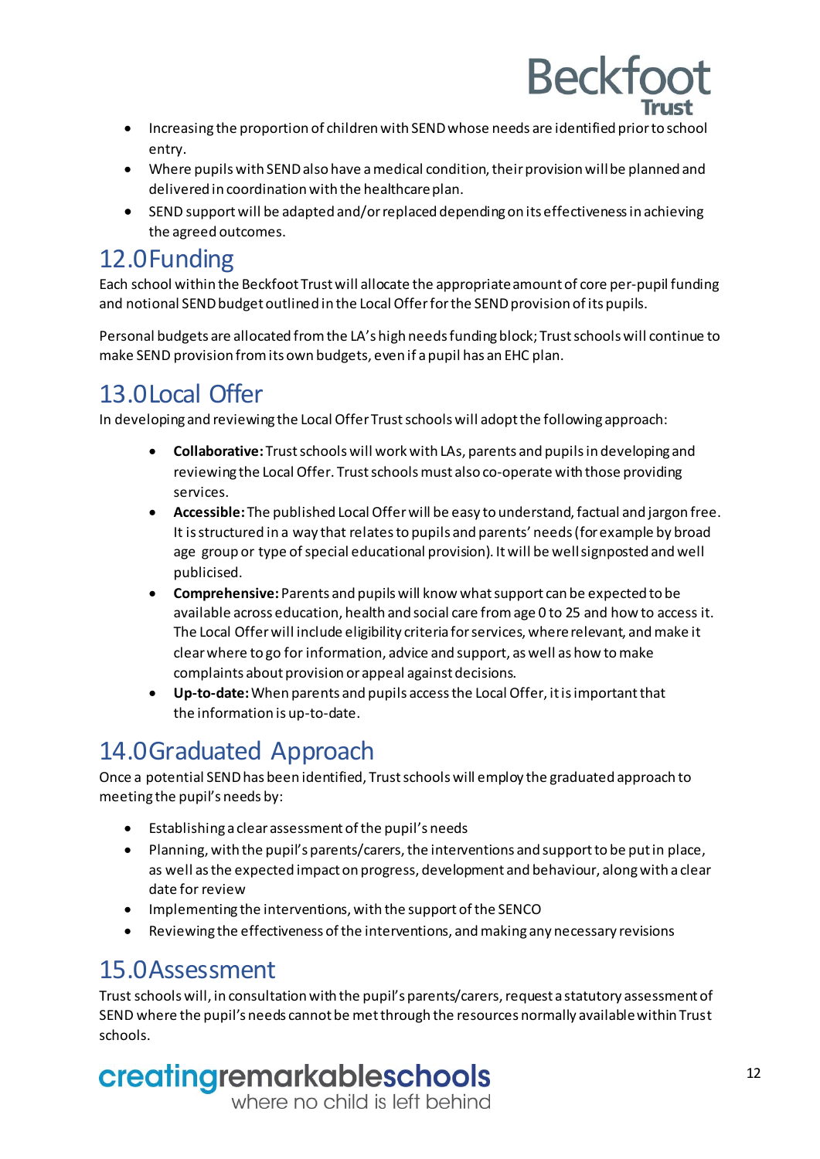- **Beckfoot**  Increasing the proportion of children with SENDwhose needs are identified priorto school entry.
- Where pupils with SEND also have a medical condition, their provision will be planned and delivered in coordination with the healthcare plan.
- SEND supportwill be adapted and/or replaced dependingon its effectiveness in achieving the agreed outcomes.

### <span id="page-11-0"></span>12.0Funding

Each school within the Beckfoot Trust will allocate the appropriateamount of core per-pupil funding and notional SEND budget outlined in the Local Offer for the SEND provision of its pupils.

Personal budgets are allocated from the LA's high needs funding block; Trustschools will continue to make SEND provision from its own budgets, even if a pupil has an EHC plan.

## <span id="page-11-1"></span>13.0Local Offer

In developing and reviewing the Local Offer Trust schools will adopt the following approach:

- **Collaborative:** Trustschoolswill work with LAs, parents and pupils in developing and reviewing the Local Offer. Trust schoolsmust also co-operate with those providing services.
- **Accessible:** The published Local Offerwill be easy to understand,factual and jargon free. It is structured in a way that relates to pupils and parents' needs (for example by broad age group or type of special educational provision). It will be well signposted and well publicised.
- **Comprehensive:**Parents and pupils will know what support can be expected to be available across education, health and social care from age 0 to 25 and how to access it. The Local Offerwill include eligibility criteria forservices, whererelevant, andmake it clearwhere to go for information, advice and support, aswell as how tomake complaints about provision or appeal against decisions.
- **Up-to-date:**When parents and pupils access the Local Offer, itis importantthat the information is up-to-date.

## <span id="page-11-2"></span>14.0Graduated Approach

Once a potential SENDhas been identified, Trustschools will employ the graduated approach to meeting the pupil's needs by:

- Establishing a clear assessment ofthe pupil's needs
- Planning, with the pupil's parents/carers,the interventions and supportto be putin place, as well as the expected impact on progress, development and behaviour, alongwith a clear date for review
- Implementing the interventions, with the support of the SENCO
- Reviewing the effectiveness of the interventions, andmaking any necessary revisions

### <span id="page-11-3"></span>15.0Assessment

Trust schools will, in consultation with the pupil's parents/carers, request a statutory assessment of SEND where the pupil's needs cannot be met through the resources normally available within Trust schools.

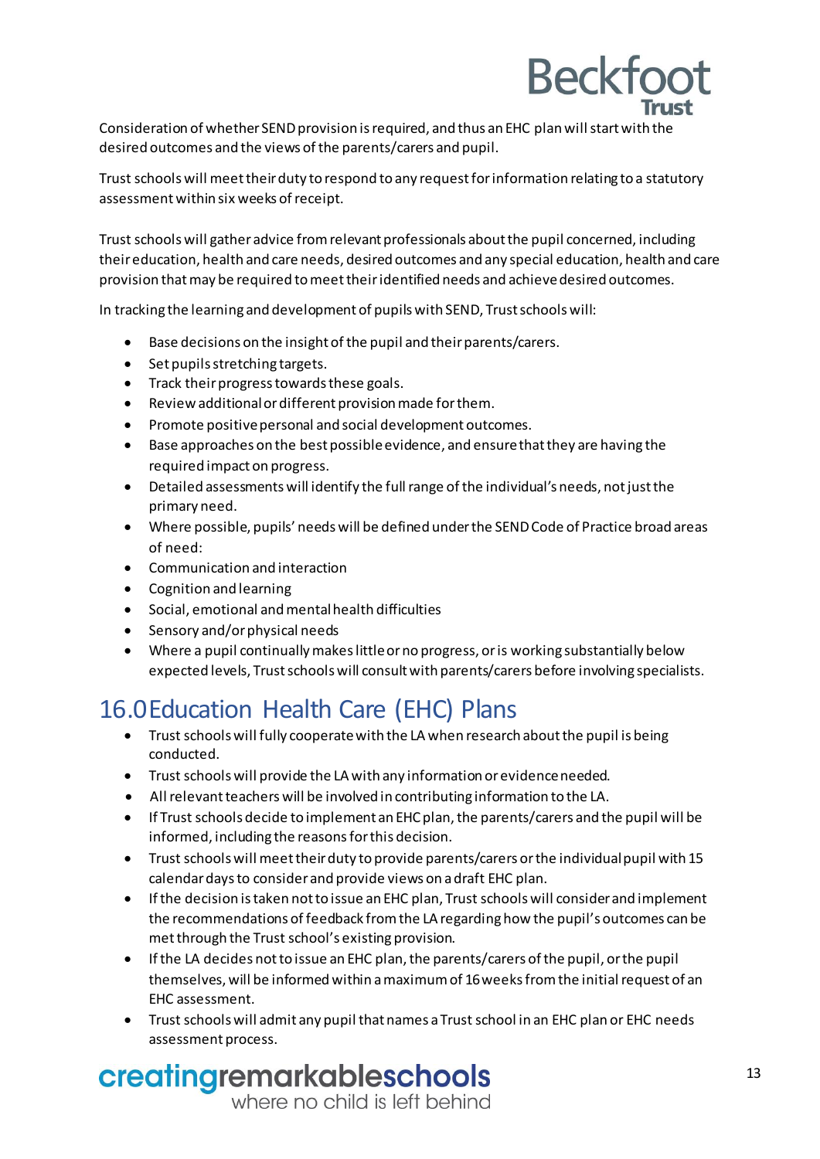

Consideration of whether SEND provision is required, and thus an EHC plan will start with the desired outcomes and the views of the parents/carers and pupil.

Trust schools will meet their duty to respond to any request forinformation relating to a statutory assessment within six weeks of receipt.

Trust schools will gather advice from relevant professionals about the pupil concerned, including their education, health and care needs, desired outcomes and any special education, health and care provision thatmay be required to meet theiridentified needs and achievedesired outcomes.

In tracking the learning and development of pupilswith SEND, Trust schoolswill:

- Base decisions on the insight of the pupil and their parents/carers.
- Set pupils stretching targets.
- Track their progress towards these goals.
- Review additional or different provision made for them.
- Promote positive personal and social development outcomes.
- Base approaches on the best possible evidence, and ensure that they are having the required impact on progress.
- Detailed assessments will identify the fullrange ofthe individual's needs, notjustthe primary need.
- Where possible, pupils' needs will be defined underthe SEND Code of Practice broad areas of need:
- Communication and interaction
- Cognition and learning
- Social, emotional andmentalhealth difficulties
- Sensory and/or physical needs
- Where a pupil continuallymakes littleor no progress, or is working substantially below expected levels, Trust schools will consult with parents/carers before involving specialists.

## <span id="page-12-0"></span>16.0Education Health Care (EHC) Plans

- Trust schools will fully cooperatewith the LA when research about the pupil is being conducted.
- Trust schools will provide the LA with any information orevidence needed.
- Allrelevant teachers will be involved in contributing information to the LA.
- If Trust schools decide to implement an EHC plan,the parents/carers and the pupil will be informed, including the reasons for this decision.
- Trust schools will meet their duty to provide parents/carers or the individual pupil with 15 calendar daysto consider and provide views on adraft EHC plan.
- If the decision istaken notto issue an EHC plan, Trust schools will consider and implement the recommendations of feedback from the LA regarding how the pupil's outcomes can be met through the Trust school's existing provision.
- If the LA decides not to issue an EHC plan, the parents/carers of the pupil, or the pupil themselves, will be informed within a maximum of 16 weeks from the initial request of an EHC assessment.
- Trust schools will admit any pupil that names a Trust school in an EHC plan or EHC needs assessment process.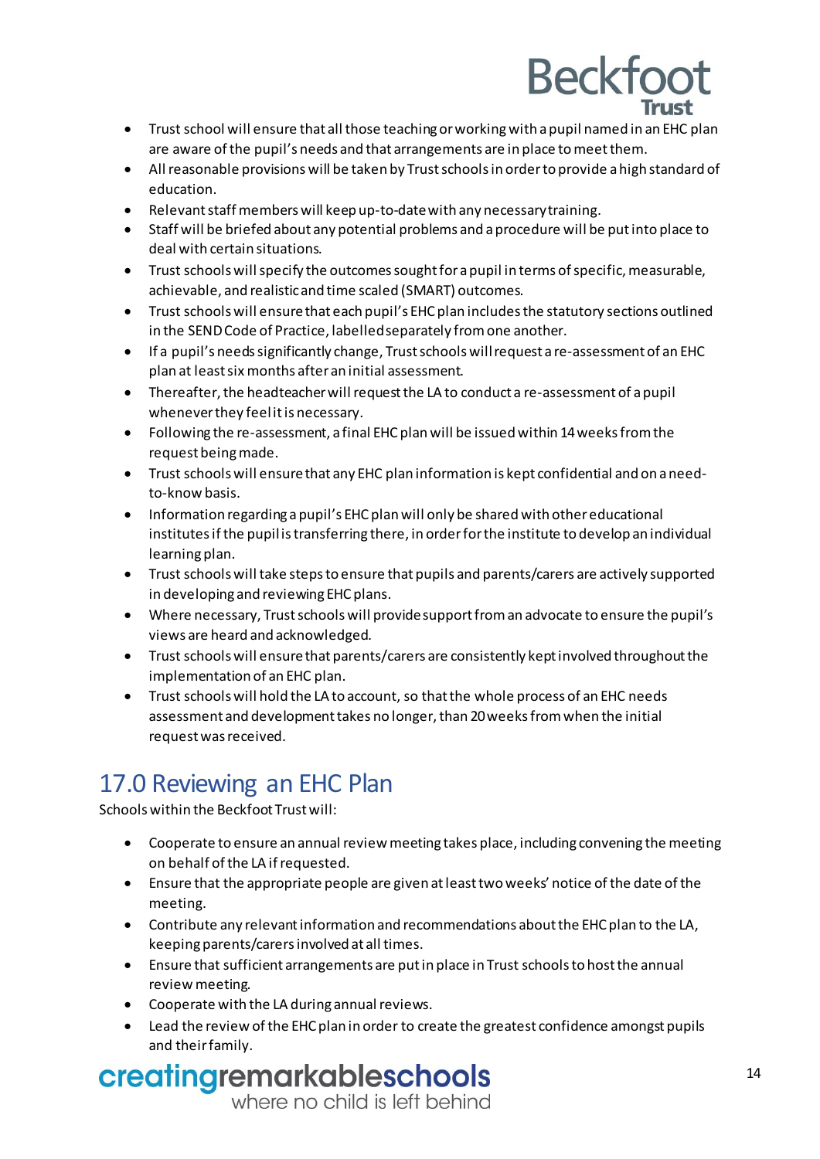- Trust school will ensure that all those teachingorworkingwith apupil named in an EHC plan are aware of the pupil's needs and that arrangements are in place tomeetthem.
- Allreasonable provisions will be taken by Trustschools in orderto provide a high standard of education.
- Relevant staff members will keep up-to-date with any necessary training.
- Staff will be briefed about any potential problems and a procedure will be put into place to deal with certain situations.
- Trust schools will specify the outcomes sought for a pupil in terms of specific, measurable, achievable, and realisticand time scaled (SMART) outcomes.
- Trust schools will ensurethat each pupil's EHC plan includes the statutory sections outlined in the SENDCode of Practice, labelledseparately fromone another.
- If a pupil's needssignificantly change, Trustschools willrequest a re-assessment of an EHC plan at least six months after an initial assessment.
- Thereafter, the headteacher will request the LA to conduct a re-assessment of a pupil wheneverthey feelit is necessary.
- Following the re-assessment, a final EHC plan will be issued within 14weeksfrom the request beingmade.
- Trust schools will ensurethat any EHC plan information is kept confidential and on a needto-know basis.
- Information regarding a pupil's EHC plan will only be shared with other educational institutes if the pupil is transferring there, in order for the institute to develop an individual learning plan.
- Trust schools will take steps to ensure that pupils and parents/carers are actively supported in developing and reviewing EHC plans.
- Where necessary, Trustschools will provide support from an advocate to ensure the pupil's views are heard and acknowledged.
- Trust schools will ensurethat parents/carers are consistently kept involved throughout the implementation of an EHC plan.
- Trust schools will hold the LA to account, so that the whole process of an EHC needs assessment and developmenttakes no longer,than 20weeksfromwhen the initial request was received.

## <span id="page-13-0"></span>17.0 Reviewing an EHC Plan

Schools within the Beckfoot Trust will:

- Cooperate to ensure an annual review meeting takes place, including convening the meeting on behalf of the LA if requested.
- Ensure that the appropriate people are given at leasttwo weeks' notice ofthe date ofthe meeting.
- Contribute any relevant information and recommendations aboutthe EHC plan to the LA, keepingparents/carers involved at all times.
- Ensure that sufficient arrangements are put in place in Trust schoolsto hostthe annual reviewmeeting.
- Cooperate with the LA during annual reviews.
- Lead the review of the EHC plan in order to create the greatest confidence amongst pupils and their family.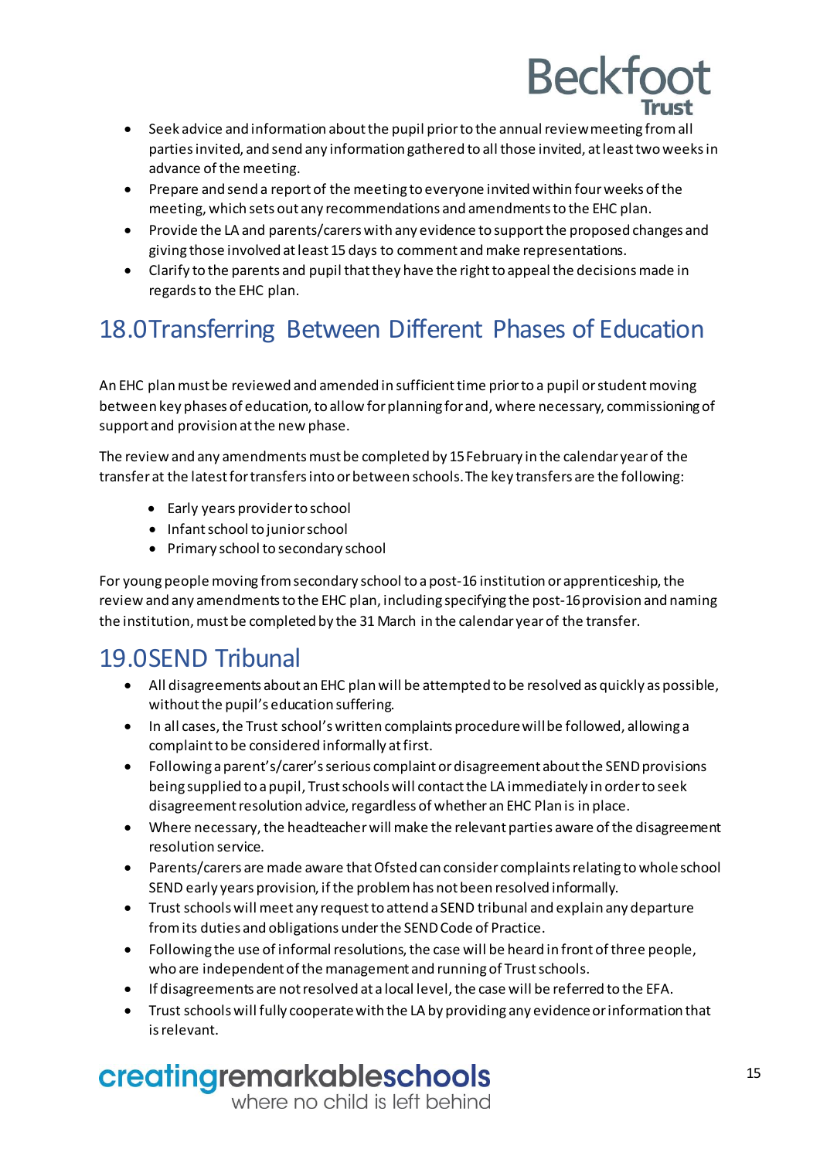- Seek advice and information about the pupil priorto the annualreviewmeeting fromall parties invited, and send any information gathered to all those invited, at leasttwo weeks in advance of the meeting.
- Prepare and send a report of the meeting to everyone invited within four weeks of the meeting, which sets out any recommendations and amendmentsto the EHC plan.
- Provide the LA and parents/carers with any evidence to support the proposed changes and giving those involved atleast 15 days to comment andmake representations.
- Clarify to the parents and pupil that they have the right to appeal the decisions made in regards to the EHC plan.

## <span id="page-14-0"></span>18.0Transferring Between Different Phases of Education

An EHC planmust be reviewed and amended in sufficient time priorto a pupil orstudentmoving between key phases of education, to allow for planning for and, where necessary, commissioning of support and provision at the new phase.

The review and any amendments must be completed by 15 February in the calendar year of the transfer at the latest for transfers into or between schools.The key transfers are the following:

- Early years provider to school
- Infant school to junior school
- Primary school to secondary school

For young people moving from secondary school to a post-16 institution or apprenticeship, the review and any amendments to the EHC plan, including specifying the post-16 provision and naming the institution, must be completed by the 31 March in the calendar year of the transfer.

## <span id="page-14-1"></span>19.0SEND Tribunal

- All disagreements about an EHC plan will be attempted to be resolved as quickly as possible, without the pupil's education suffering.
- In all cases, the Trust school's written complaints procedure will be followed, allowing a complaint to be considered informally at first.
- Following a parent's/carer's serious complaint or disagreement about the SEND provisions being supplied to a pupil, Trust schoolswill contact the LA immediately in order to seek disagreement resolution advice, regardless of whether an EHC Plan is in place.
- Where necessary, the headteacher will make the relevant parties aware of the disagreement resolution service.
- Parents/carers are made aware that Ofsted can consider complaintsrelating towholeschool SEND early years provision, if the problem has not been resolved informally.
- Trust schools will meet any requestto attend a SEND tribunal and explain any departure from its duties and obligations under the SENDCode of Practice.
- $\bullet$  Following the use of informal resolutions, the case will be heard in front of three people, who are independent of the management and runningof Trust schools.
- **If disagreements are not resolved at a local level, the case will be referred to the EFA.**
- Trust schools will fully cooperatewith the LA by providing any evidenceorinformation that is relevant.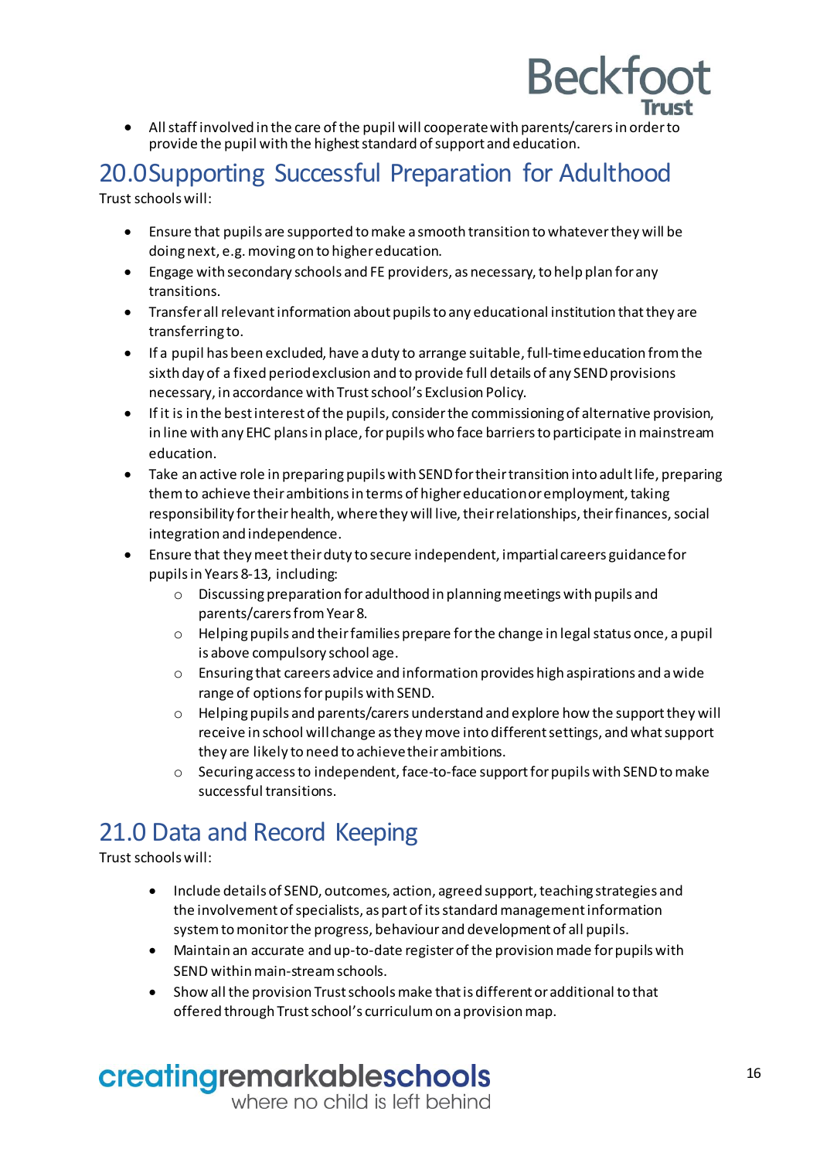

 Allstaff involved in the care ofthe pupil will cooperate with parents/carers in order to provide the pupil with the highest standard of support and education.

#### <span id="page-15-0"></span>20.0Supporting Successful Preparation for Adulthood Trust schools will:

- Ensure that pupils are supported to make a smooth transition towhateverthey will be doing next, e.g.moving on to highereducation.
- Engage with secondary schools and FE providers, as necessary,to help plan for any transitions.
- Transfer all relevant information about pupils to any educational institution that they are transferring to.
- If a pupil has been excluded, have a duty to arrange suitable, full-time education from the sixth day of a fixed periodexclusion and to provide full details of any SENDprovisions necessary, in accordance with Trust school's Exclusion Policy.
- If it is in the best interest of the pupils, considerthe commissioningof alternative provision, in line with any EHC plans in place, for pupils who face barriers to participate in mainstream education.
- Take an active role in preparing pupils with SEND for their transition into adult life, preparing them to achieve their ambitions in terms of higher education or employment, taking responsibility for their health, where they will live, their relationships, their finances, social integration and independence.
- Ensure that theymeet theirduty to secure independent, impartialcareers guidance for pupils in Years 8-13, including:
	- o Discussing preparation foradulthood in planningmeetings with pupils and parents/carers fromYear8.
	- o Helpingpupils and their families prepare forthe change in legalstatus once, a pupil is above compulsory school age.
	- $\circ$  Ensuring that careers advice and information provides high aspirations and a wide range of options for pupils with SEND.
	- o Helpingpupils and parents/carers understand and explore how the support they will receive in school willchange as theymove into different settings, and whatsupport they are likely to need to achieve theirambitions.
	- $\circ$  Securing access to independent, face-to-face support for pupils with SEND to make successful transitions.

## <span id="page-15-1"></span>21.0 Data and Record Keeping

Trust schools will:

- Include details of SEND, outcomes, action, agreed support, teaching strategies and the involvement of specialists, as part of its standard management information system to monitor the progress, behaviour and development of all pupils.
- Maintain an accurate and up-to-date registerofthe provisionmade for pupilswith SEND within main-stream schools.
- Show all the provision Trustschoolsmake that is different or additional to that offered through Trust school's curriculum on a provision map.